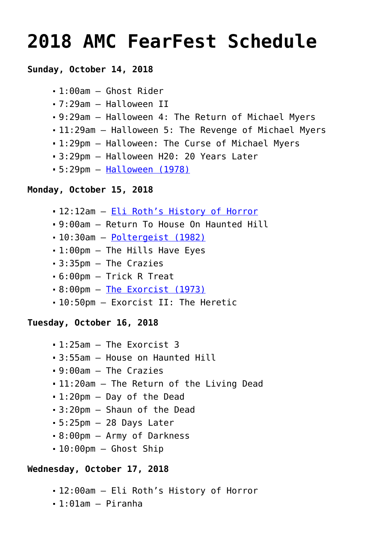# **[2018 AMC FearFest Schedule](https://www.halloweenmoviesontv.com/archives/2018-amc-fearfest-schedule/)**

# **Sunday, October 14, 2018**

```
1:00am – Ghost Rider
```
- 7:29am Halloween II
- 9:29am Halloween 4: The Return of Michael Myers
- 11:29am Halloween 5: The Revenge of Michael Myers
- 1:29pm Halloween: The Curse of Michael Myers
- 3:29pm Halloween H20: 20 Years Later
- 5:29pm – [Halloween \(1978\)](https://www.halloweenmoviesontv.com/halloween-movies-a-to-z/halloween-1978/)

# **Monday, October 15, 2018**

- 12:12am [Eli Roth's History of Horror](https://www.halloweenmoviesontv.com/announcements/amc-visionaries-eli-roths-history-of-horror-premieres-october-2018/)
- 9:00am Return To House On Haunted Hill
- 10:30am [Poltergeist \(1982\)](https://www.halloweenmoviesontv.com/halloween-movies-a-to-z/poltergeist-1982/)
- 1:00pm The Hills Have Eyes
- 3:35pm The Crazies
- 6:00pm Trick R Treat
- 8:00pm – [The Exorcist \(1973\)](https://www.halloweenmoviesontv.com/halloween-movies-a-to-z/the-exorcist-1973/)
- 10:50pm Exorcist II: The Heretic

#### **Tuesday, October 16, 2018**

- $-1:25$ am  $-$  The Exorcist 3
- 3:55am House on Haunted Hill
- 9:00am The Crazies
- 11:20am The Return of the Living Dead
- 1:20pm Day of the Dead
- 3:20pm Shaun of the Dead
- 5:25pm 28 Days Later
- 8:00pm Army of Darkness
- $-10:00$ pm Ghost Ship

# **Wednesday, October 17, 2018**

- 12:00am Eli Roth's History of Horror
- 1:01am Piranha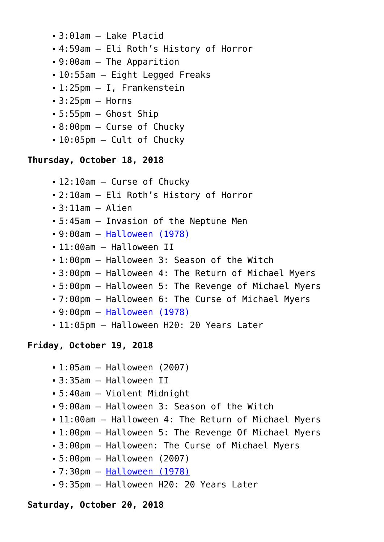- 3:01am Lake Placid
- 4:59am Eli Roth's History of Horror
- 9:00am The Apparition
- 10:55am Eight Legged Freaks
- 1:25pm I, Frankenstein
- $-3:25$ pm  $-$  Horns
- 5:55pm Ghost Ship
- 8:00pm Curse of Chucky
- 10:05pm Cult of Chucky

# **Thursday, October 18, 2018**

- 12:10am Curse of Chucky
- 2:10am Eli Roth's History of Horror
- 3:11am Alien
- 5:45am Invasion of the Neptune Men
- 9:00am – [Halloween \(1978\)](https://www.halloweenmoviesontv.com/halloween-movies-a-to-z/halloween-1978/)
- 11:00am Halloween II
- 1:00pm Halloween 3: Season of the Witch
- 3:00pm Halloween 4: The Return of Michael Myers
- 5:00pm Halloween 5: The Revenge of Michael Myers
- 7:00pm Halloween 6: The Curse of Michael Myers
- 9:00pm – [Halloween \(1978\)](https://www.halloweenmoviesontv.com/halloween-movies-a-to-z/halloween-1978/)
- 11:05pm Halloween H20: 20 Years Later

# **Friday, October 19, 2018**

- 1:05am Halloween (2007)
- 3:35am Halloween II
- 5:40am Violent Midnight
- 9:00am Halloween 3: Season of the Witch
- 11:00am Halloween 4: The Return of Michael Myers
- 1:00pm Halloween 5: The Revenge Of Michael Myers
- 3:00pm Halloween: The Curse of Michael Myers
- 5:00pm Halloween (2007)
- 7:30pm – [Halloween \(1978\)](https://www.halloweenmoviesontv.com/halloween-movies-a-to-z/halloween-1978/)
- 9:35pm Halloween H20: 20 Years Later

#### **Saturday, October 20, 2018**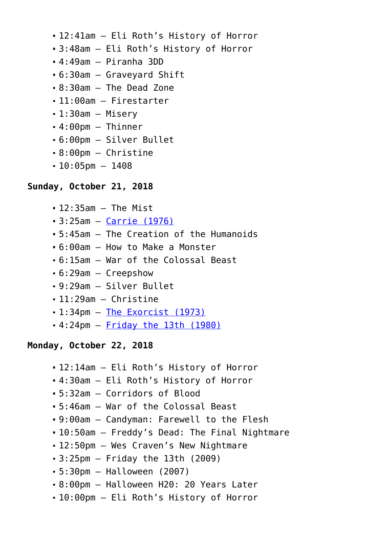- 12:41am Eli Roth's History of Horror
- 3:48am Eli Roth's History of Horror
- $-4:49$ am  $-$  Piranha 3DD
- 6:30am Graveyard Shift
- 8:30am The Dead Zone
- 11:00am Firestarter
- 1:30am Misery
- $-4:00$ pm Thinner
- 6:00pm Silver Bullet
- 8:00pm Christine
- $-10:05$ pm  $-1408$

## **Sunday, October 21, 2018**

- 12:35am The Mist
- 3:25am – [Carrie \(1976\)](https://www.halloweenmoviesontv.com/halloween-movies-a-to-z/carrie-1976/)
- 5:45am The Creation of the Humanoids
- 6:00am How to Make a Monster
- 6:15am War of the Colossal Beast
- 6:29am Creepshow
- 9:29am Silver Bullet
- 11:29am Christine
- 1:34pm – [The Exorcist \(1973\)](https://www.halloweenmoviesontv.com/halloween-movies-a-to-z/the-exorcist-1973/)
- 4:24pm – [Friday the 13th \(1980\)](https://www.halloweenmoviesontv.com/halloween-movies-a-to-z/friday-the-13th-1980/)

#### **Monday, October 22, 2018**

- 12:14am Eli Roth's History of Horror
- 4:30am Eli Roth's History of Horror
- 5:32am Corridors of Blood
- 5:46am War of the Colossal Beast
- 9:00am Candyman: Farewell to the Flesh
- 10:50am Freddy's Dead: The Final Nightmare
- 12:50pm Wes Craven's New Nightmare
- 3:25pm Friday the 13th (2009)
- 5:30pm Halloween (2007)
- 8:00pm Halloween H20: 20 Years Later
- 10:00pm Eli Roth's History of Horror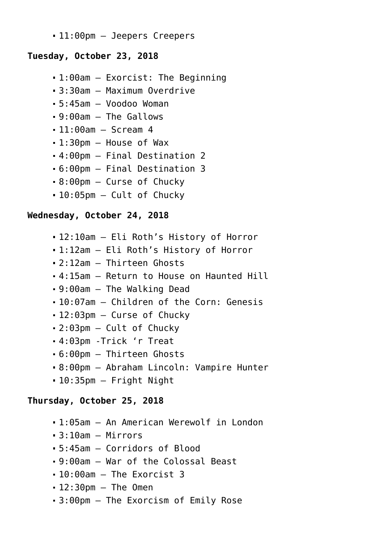11:00pm – Jeepers Creepers

## **Tuesday, October 23, 2018**

- 1:00am Exorcist: The Beginning
- 3:30am Maximum Overdrive
- 5:45am Voodoo Woman
- 9:00am The Gallows
- 11:00am Scream 4
- 1:30pm House of Wax
- 4:00pm Final Destination 2
- 6:00pm Final Destination 3
- 8:00pm Curse of Chucky
- 10:05pm Cult of Chucky

## **Wednesday, October 24, 2018**

- 12:10am Eli Roth's History of Horror
- 1:12am Eli Roth's History of Horror
- 2:12am Thirteen Ghosts
- 4:15am Return to House on Haunted Hill
- 9:00am The Walking Dead
- 10:07am Children of the Corn: Genesis
- 12:03pm Curse of Chucky
- 2:03pm Cult of Chucky
- 4:03pm -Trick 'r Treat
- 6:00pm Thirteen Ghosts
- 8:00pm Abraham Lincoln: Vampire Hunter
- 10:35pm Fright Night

# **Thursday, October 25, 2018**

- 1:05am An American Werewolf in London
- $-3:10$ am Mirrors
- 5:45am Corridors of Blood
- 9:00am War of the Colossal Beast
- 10:00am The Exorcist 3
- $-12:30$ pm  $-$  The Omen
- 3:00pm The Exorcism of Emily Rose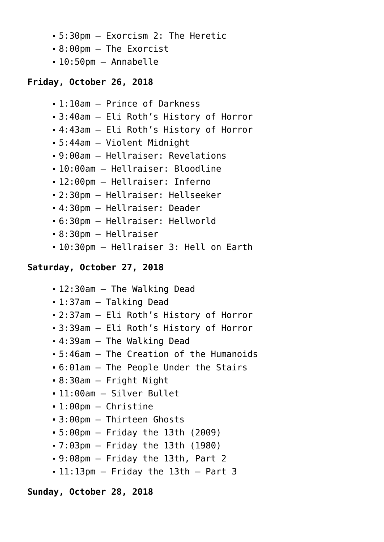- 5:30pm Exorcism 2: The Heretic
- 8:00pm The Exorcist
- 10:50pm Annabelle

# **Friday, October 26, 2018**

```
1:10am – Prince of Darkness
```
- 3:40am Eli Roth's History of Horror
- 4:43am Eli Roth's History of Horror
- 5:44am Violent Midnight
- 9:00am Hellraiser: Revelations
- 10:00am Hellraiser: Bloodline
- 12:00pm Hellraiser: Inferno
- 2:30pm Hellraiser: Hellseeker
- 4:30pm Hellraiser: Deader
- 6:30pm Hellraiser: Hellworld
- 8:30pm Hellraiser
- 10:30pm Hellraiser 3: Hell on Earth

## **Saturday, October 27, 2018**

- 12:30am The Walking Dead
- 1:37am Talking Dead
- 2:37am Eli Roth's History of Horror
- 3:39am Eli Roth's History of Horror
- 4:39am The Walking Dead
- 5:46am The Creation of the Humanoids
- 6:01am The People Under the Stairs
- 8:30am Fright Night
- 11:00am Silver Bullet
- 1:00pm Christine
- 3:00pm Thirteen Ghosts
- 5:00pm Friday the 13th (2009)
- 7:03pm Friday the 13th (1980)
- 9:08pm Friday the 13th, Part 2
- 11:13pm Friday the 13th Part 3

#### **Sunday, October 28, 2018**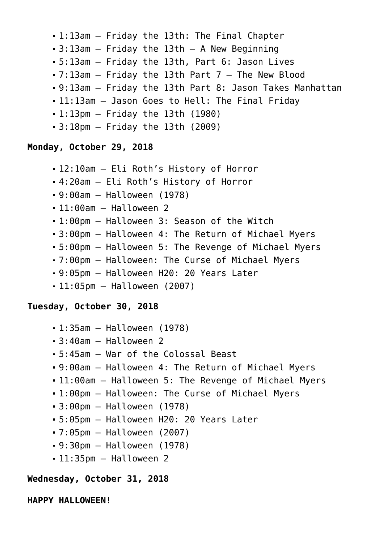- 1:13am Friday the 13th: The Final Chapter
- $-3:13$ am Friday the 13th A New Beginning
- 5:13am Friday the 13th, Part 6: Jason Lives
- 7:13am Friday the 13th Part 7 The New Blood
- 9:13am Friday the 13th Part 8: Jason Takes Manhattan
- 11:13am Jason Goes to Hell: The Final Friday
- $-1:13$ pm Friday the 13th (1980)
- 3:18pm Friday the 13th (2009)

## **Monday, October 29, 2018**

- 12:10am Eli Roth's History of Horror
- 4:20am Eli Roth's History of Horror
- 9:00am Halloween (1978)
- $-11:00$ am Halloween 2
- 1:00pm Halloween 3: Season of the Witch
- 3:00pm Halloween 4: The Return of Michael Myers
- 5:00pm Halloween 5: The Revenge of Michael Myers
- 7:00pm Halloween: The Curse of Michael Myers
- 9:05pm Halloween H20: 20 Years Later
- 11:05pm Halloween (2007)

#### **Tuesday, October 30, 2018**

- 1:35am Halloween (1978)
- 3:40am Halloween 2
- 5:45am War of the Colossal Beast
- 9:00am Halloween 4: The Return of Michael Myers
- 11:00am Halloween 5: The Revenge of Michael Myers
- 1:00pm Halloween: The Curse of Michael Myers
- 3:00pm Halloween (1978)
- 5:05pm Halloween H20: 20 Years Later
- 7:05pm Halloween (2007)
- 9:30pm Halloween (1978)
- 11:35pm Halloween 2

# **Wednesday, October 31, 2018**

**HAPPY HALLOWEEN!**